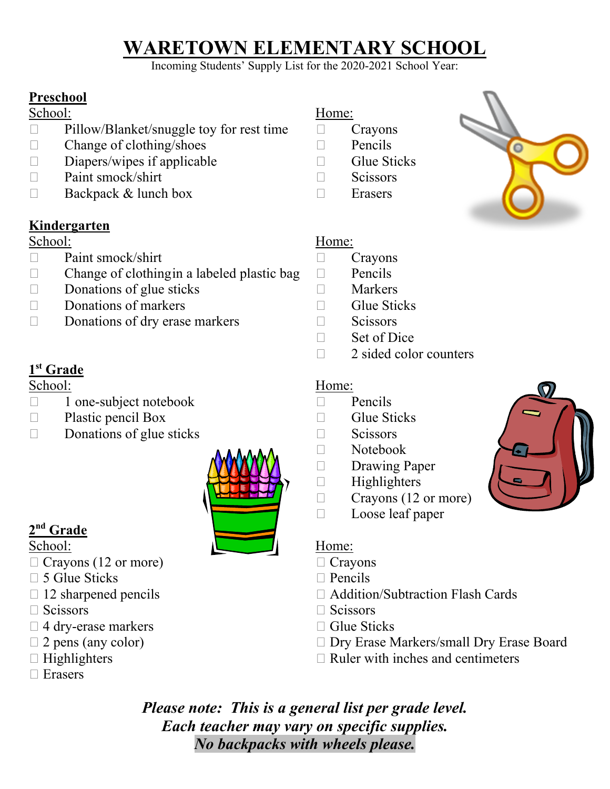# **WARETOWN ELEMENTARY SCHOOL**

Incoming Students' Supply List for the 2020-2021 School Year:

## **Preschool**

### School: Home:

- $\Box$  Pillow/Blanket/snuggle toy for rest time  $\Box$  Crayons
- $\Box$  Change of clothing/shoes  $\Box$  Pencils
- $\square$  Diapers/wipes if applicable  $\square$  Glue Sticks
- $\Box$  Paint smock/shirt  $\Box$  Scissors
- □ Backpack & lunch box □ Erasers

## **Kindergarten**

### School: Home:

- D Paint smock/shirt Crayons
- $\Box$  Change of clothingin a labeled plastic bag  $\Box$  Pencils
- $\Box$  Donations of glue sticks  $\Box$  Markers
- $\Box$  Donations of markers  $\Box$  Glue Sticks
- $\Box$  Donations of dry erase markers  $\Box$  Scissors

# **1st Grade**

### School: Home:

- $\Box$  1 one-subject notebook  $\Box$  Pencils
- $\Box$  Plastic pencil Box  $\Box$  Glue Sticks
- $\Box$  Donations of glue sticks  $\Box$  Scissors



# **2nd Grade**

- $\Box$  Crayons (12 or more)  $\Box$  Crayons
- $\Box$  5 Glue Sticks  $\Box$  Pencils
- 
- 
- $\Box$  4 dry-erase markers  $\Box$  Glue Sticks
- 
- 
- □ Erasers

- 
- 
- 
- 
- 



- 
- 
- 
- 
- 
- $\Box$  Set of Dice
- $\Box$  2 sided color counters

- 
- 
- 
- Notebook
- Drawing Paper
- $\Box$  Highlighters
- $\Box$  Crayons (12 or more)
- D Loose leaf paper

- 
- 
- $\Box$  12 sharpened pencils  $\Box$  Addition/Subtraction Flash Cards
- $\Box$  Scissors  $\Box$  Scissors
	-
- □ 2 pens (any color) □ Dry Erase Markers/small Dry Erase Board
- $\Box$  Highlighters  $\Box$  Ruler with inches and centimeters

*Please note: This is a general list per grade level. Each teacher may vary on specific supplies. No backpacks with wheels please.*